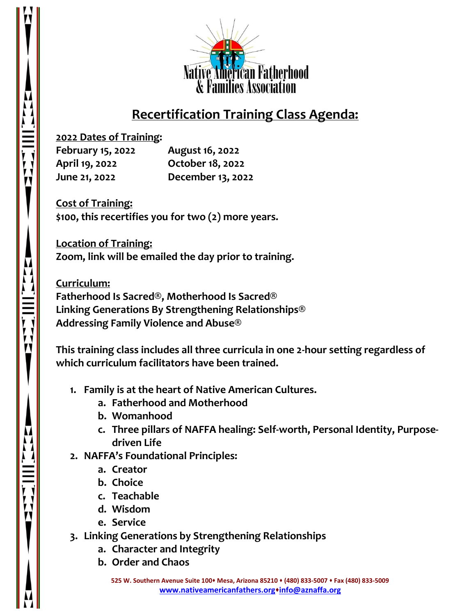

## **Recertification Training Class Agenda:**

**2022 Dates of Training:**

**February 15, 2022 August 16, 2022 April 19, 2022 October 18, 2022 June 21, 2022 December 13, 2022**

**Cost of Training: \$100, this recertifies you for two (2) more years.**

**Location of Training: Zoom, link will be emailed the day prior to training.**

**Curriculum: Fatherhood Is Sacred®, Motherhood Is Sacred® Linking Generations By Strengthening Relationships® Addressing Family Violence and Abuse®**

**This training class includes all three curricula in one 2-hour setting regardless of which curriculum facilitators have been trained.**

- **1. Family is at the heart of Native American Cultures.**
	- **a. Fatherhood and Motherhood**
	- **b. Womanhood**
	- **c. Three pillars of NAFFA healing: Self-worth, Personal Identity, Purposedriven Life**
- **2. NAFFA's Foundational Principles:**
	- **a. Creator**
	- **b. Choice**
	- **c. Teachable**
	- **d. Wisdom**
	- **e. Service**
- **3. Linking Generations by Strengthening Relationships**
	- **a. Character and Integrity**
	- **b. Order and Chaos**